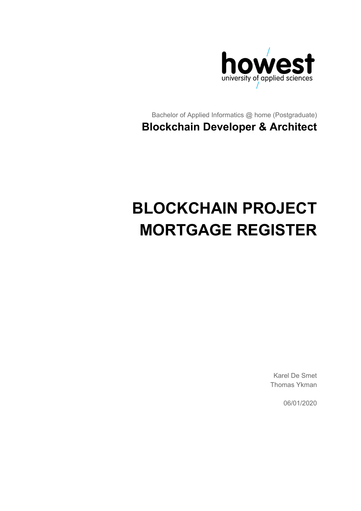

Bachelor of Applied Informatics @ home (Postgraduate) **Blockchain Developer & Architect**

# **BLOCKCHAIN PROJECT MORTGAGE REGISTER**

Karel De Smet Thomas Ykman

06/01/2020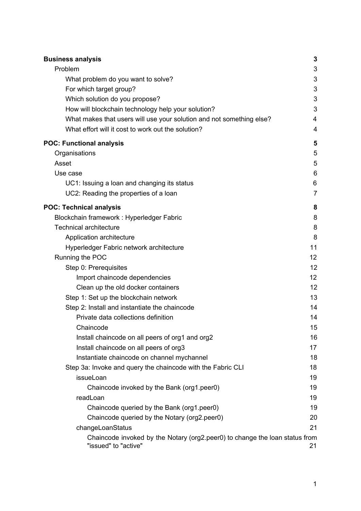| <b>Business analysis</b>                                                                            | 3              |
|-----------------------------------------------------------------------------------------------------|----------------|
| Problem                                                                                             | 3              |
| What problem do you want to solve?                                                                  | 3              |
| For which target group?                                                                             | 3              |
| Which solution do you propose?                                                                      | 3              |
| How will blockchain technology help your solution?                                                  | 3              |
| What makes that users will use your solution and not something else?                                | $\overline{4}$ |
| What effort will it cost to work out the solution?                                                  | 4              |
| <b>POC: Functional analysis</b>                                                                     | 5              |
| Organisations                                                                                       | 5              |
| Asset                                                                                               | 5              |
| Use case                                                                                            | 6              |
| UC1: Issuing a loan and changing its status                                                         | 6              |
| UC2: Reading the properties of a loan                                                               | $\overline{7}$ |
| <b>POC: Technical analysis</b>                                                                      | 8              |
| Blockchain framework : Hyperledger Fabric                                                           | 8              |
| <b>Technical architecture</b>                                                                       | 8              |
| Application architecture                                                                            | 8              |
| Hyperledger Fabric network architecture                                                             | 11             |
| Running the POC                                                                                     | 12             |
| Step 0: Prerequisites                                                                               | 12             |
| Import chaincode dependencies                                                                       | 12             |
| Clean up the old docker containers                                                                  | 12             |
| Step 1: Set up the blockchain network                                                               | 13             |
| Step 2: Install and instantiate the chaincode                                                       | 14             |
| Private data collections definition                                                                 | 14             |
| Chaincode                                                                                           | 15             |
| Install chaincode on all peers of org1 and org2                                                     | 16             |
| Install chaincode on all peers of org3                                                              | 17             |
| Instantiate chaincode on channel mychannel                                                          | 18             |
| Step 3a: Invoke and query the chaincode with the Fabric CLI                                         | 18             |
| issueLoan                                                                                           | 19             |
| Chaincode invoked by the Bank (org1.peer0)                                                          | 19             |
| readLoan                                                                                            | 19             |
| Chaincode queried by the Bank (org1.peer0)                                                          | 19             |
| Chaincode queried by the Notary (org2.peer0)                                                        | 20             |
| changeLoanStatus                                                                                    | 21             |
| Chaincode invoked by the Notary (org2.peer0) to change the loan status from<br>"issued" to "active" | 21             |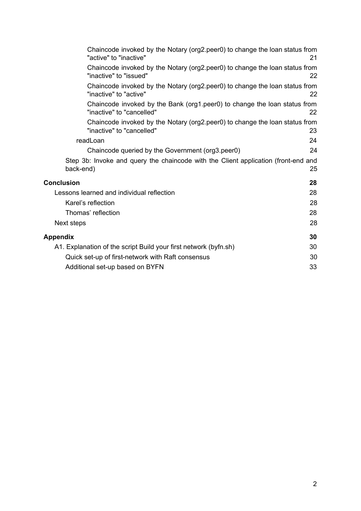| Chaincode invoked by the Notary (org2.peer0) to change the loan status from<br>"active" to "inactive"    | 21 |
|----------------------------------------------------------------------------------------------------------|----|
| Chaincode invoked by the Notary (org2.peer0) to change the loan status from<br>"inactive" to "issued"    | 22 |
| Chaincode invoked by the Notary (org2.peer0) to change the loan status from<br>"inactive" to "active"    | 22 |
| Chaincode invoked by the Bank (org1.peer0) to change the loan status from<br>"inactive" to "cancelled"   | 22 |
| Chaincode invoked by the Notary (org2.peer0) to change the loan status from<br>"inactive" to "cancelled" | 23 |
| readLoan                                                                                                 | 24 |
| Chaincode queried by the Government (org3.peer0)                                                         | 24 |
| Step 3b: Invoke and query the chaincode with the Client application (front-end and<br>back-end)          | 25 |
| <b>Conclusion</b>                                                                                        | 28 |
| Lessons learned and individual reflection                                                                | 28 |
| Karel's reflection                                                                                       | 28 |
| Thomas' reflection                                                                                       | 28 |
| Next steps                                                                                               | 28 |
| Appendix                                                                                                 | 30 |
| A1. Explanation of the script Build your first network (byfn.sh)                                         | 30 |
| Quick set-up of first-network with Raft consensus                                                        | 30 |
| Additional set-up based on BYFN                                                                          | 33 |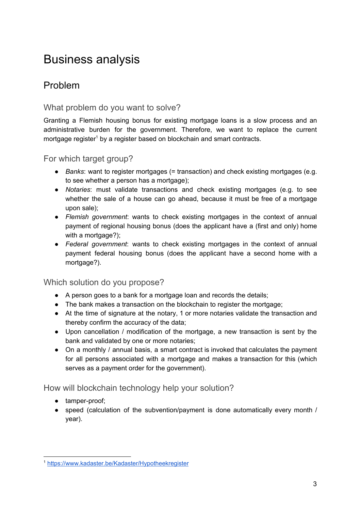## <span id="page-3-0"></span>Business analysis

## <span id="page-3-1"></span>Problem

### <span id="page-3-2"></span>What problem do you want to solve?

Granting a Flemish housing bonus for existing mortgage loans is a slow process and an administrative burden for the government. Therefore, we want to replace the current mortgage register<sup>1</sup> by a register based on blockchain and smart contracts.

<span id="page-3-3"></span>For which target group?

- *Banks*: want to register mortgages (= transaction) and check existing mortgages (e.g. to see whether a person has a mortgage);
- *Notaries*: must validate transactions and check existing mortgages (e.g. to see whether the sale of a house can go ahead, because it must be free of a mortgage upon sale);
- *Flemish government*: wants to check existing mortgages in the context of annual payment of regional housing bonus (does the applicant have a (first and only) home with a mortgage?);
- *Federal government*: wants to check existing mortgages in the context of annual payment federal housing bonus (does the applicant have a second home with a mortgage?).

### <span id="page-3-4"></span>Which solution do you propose?

- A person goes to a bank for a mortgage loan and records the details;
- The bank makes a transaction on the blockchain to register the mortgage;
- At the time of signature at the notary, 1 or more notaries validate the transaction and thereby confirm the accuracy of the data;
- Upon cancellation / modification of the mortgage, a new transaction is sent by the bank and validated by one or more notaries;
- $\bullet$  On a monthly / annual basis, a smart contract is invoked that calculates the payment for all persons associated with a mortgage and makes a transaction for this (which serves as a payment order for the government).

<span id="page-3-5"></span>How will blockchain technology help your solution?

- tamper-proof;
- speed (calculation of the subvention/payment is done automatically every month / year).

<sup>1</sup> <https://www.kadaster.be/Kadaster/Hypotheekregister>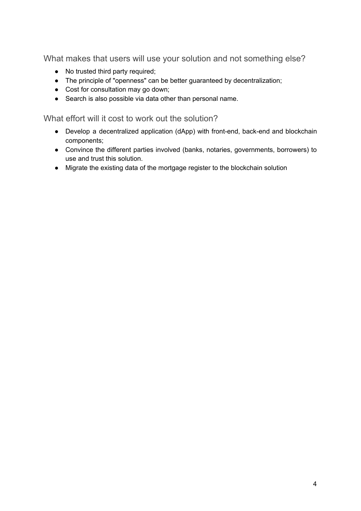<span id="page-4-0"></span>What makes that users will use your solution and not something else?

- No trusted third party required;
- The principle of "openness" can be better guaranteed by decentralization;
- Cost for consultation may go down;
- Search is also possible via data other than personal name.

<span id="page-4-1"></span>What effort will it cost to work out the solution?

- Develop a decentralized application (dApp) with front-end, back-end and blockchain components;
- Convince the different parties involved (banks, notaries, governments, borrowers) to use and trust this solution.
- Migrate the existing data of the mortgage register to the blockchain solution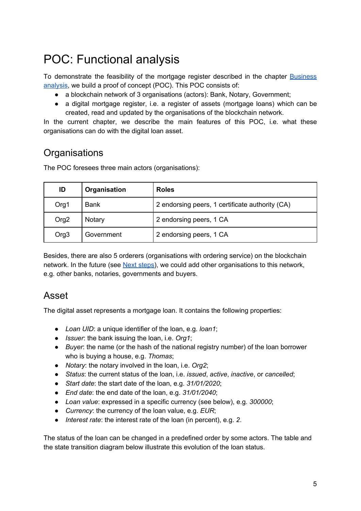## <span id="page-5-0"></span>POC: Functional analysis

To demonstrate the feasibility of the mortgage register described in the chapter [Business](#page-3-0) [analysis,](#page-3-0) we build a proof of concept (POC). This POC consists of:

- a blockchain network of 3 organisations (actors): Bank, Notary, Government;
- a digital mortgage register, i.e. a register of assets (mortgage loans) which can be created, read and updated by the organisations of the blockchain network.

In the current chapter, we describe the main features of this POC, i.e. what these organisations can do with the digital loan asset.

## <span id="page-5-1"></span>**Organisations**

The POC foresees three main actors (organisations):

| ID               | Organisation | <b>Roles</b>                                    |
|------------------|--------------|-------------------------------------------------|
| Org1             | <b>Bank</b>  | 2 endorsing peers, 1 certificate authority (CA) |
| Org <sub>2</sub> | Notary       | 2 endorsing peers, 1 CA                         |
| Org <sub>3</sub> | Government   | 2 endorsing peers, 1 CA                         |

Besides, there are also 5 orderers (organisations with ordering service) on the blockchain network. In the future (see Next [steps\)](#page-28-4), we could add other organisations to this network, e.g. other banks, notaries, governments and buyers.

## <span id="page-5-2"></span>Asset

The digital asset represents a mortgage loan. It contains the following properties:

- *Loan UID*: a unique identifier of the loan, e.g. *loan1*;
- *Issuer*: the bank issuing the loan, i.e. *Org1*;
- *Buyer*: the name (or the hash of the national registry number) of the loan borrower who is buying a house, e.g. *Thomas*;
- *Notary*: the notary involved in the loan, i.e. *Org2*;
- *Status*: the current status of the loan, i.e. *issued*, *active*, *inactive*, or *cancelled*;
- *Start date*: the start date of the loan, e.g. *31/01/2020*;
- *End date*: the end date of the loan, e.g. *31/01/2040*;
- *Loan value*: expressed in a specific currency (see below), e.g. *300000*;
- *Currency*: the currency of the loan value, e.g. *EUR*;
- *Interest rate*: the interest rate of the loan (in percent), e.g. *2*.

The status of the loan can be changed in a predefined order by some actors. The table and the state transition diagram below illustrate this evolution of the loan status.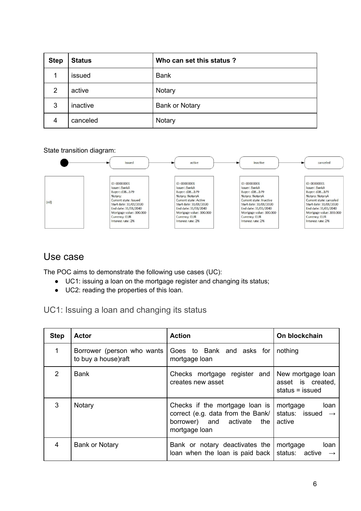| <b>Step</b>    | <b>Status</b> | Who can set this status? |
|----------------|---------------|--------------------------|
|                | issued        | <b>Bank</b>              |
| $\overline{2}$ | active        | Notary                   |
| 3              | inactive      | <b>Bank or Notary</b>    |
| 4              | canceled      | Notary                   |

State transition diagram:



### <span id="page-6-0"></span>Use case

The POC aims to demonstrate the following use cases (UC):

- UC1: issuing a loan on the mortgage register and changing its status;
- UC2: reading the properties of this loan.

<span id="page-6-1"></span>UC1: Issuing a loan and changing its status

| <b>Step</b> | <b>Actor</b>                                      | <b>Action</b>                                                                                                      | On blockchain                                                     |
|-------------|---------------------------------------------------|--------------------------------------------------------------------------------------------------------------------|-------------------------------------------------------------------|
| 1           | Borrower (person who wants<br>to buy a house)raft | Goes to Bank and asks for<br>mortgage loan                                                                         | nothing                                                           |
| 2           | <b>Bank</b>                                       | Checks mortgage register and<br>creates new asset                                                                  | New mortgage loan<br>asset is created,<br>status = issued         |
| 3           | Notary                                            | Checks if the mortgage loan is<br>correct (e.g. data from the Bank/<br>borrower) and activate the<br>mortgage loan | mortgage<br>loan<br>status: issued<br>$\longrightarrow$<br>active |
| 4           | <b>Bank or Notary</b>                             | Bank or notary deactivates the<br>loan when the loan is paid back                                                  | loan<br>mortgage<br>status: active<br>$\rightarrow$               |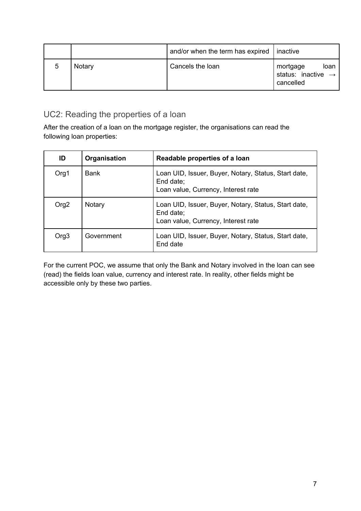|   |        | and/or when the term has expired | <i>l</i> inactive                                               |
|---|--------|----------------------------------|-----------------------------------------------------------------|
| 5 | Notary | Cancels the loan                 | mortgage<br>loan<br>status: inactive $\rightarrow$<br>cancelled |

## <span id="page-7-0"></span>UC2: Reading the properties of a loan

After the creation of a loan on the mortgage register, the organisations can read the following loan properties:

| ID               | Organisation | Readable properties of a loan                                                                            |
|------------------|--------------|----------------------------------------------------------------------------------------------------------|
| Org1             | <b>Bank</b>  | Loan UID, Issuer, Buyer, Notary, Status, Start date,<br>End date;<br>Loan value, Currency, Interest rate |
| Org <sub>2</sub> | Notary       | Loan UID, Issuer, Buyer, Notary, Status, Start date,<br>End date;<br>Loan value, Currency, Interest rate |
| Org <sub>3</sub> | Government   | Loan UID, Issuer, Buyer, Notary, Status, Start date,<br>End date                                         |

For the current POC, we assume that only the Bank and Notary involved in the loan can see (read) the fields loan value, currency and interest rate. In reality, other fields might be accessible only by these two parties.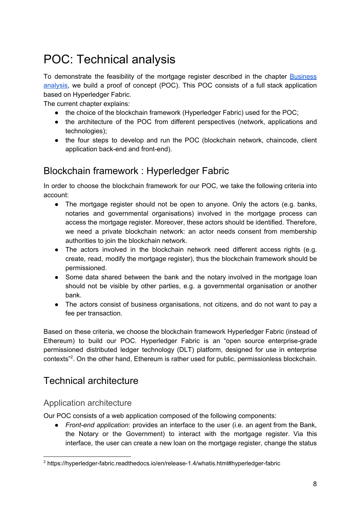## <span id="page-8-0"></span>POC: Technical analysis

To demonstrate the feasibility of the mortgage register described in the chapter [Business](#page-3-0) [analysis,](#page-3-0) we build a proof of concept (POC). This POC consists of a full stack application based on Hyperledger Fabric.

The current chapter explains:

- the choice of the blockchain framework (Hyperledger Fabric) used for the POC;
- the architecture of the POC from different perspectives (network, applications and technologies);
- the four steps to develop and run the POC (blockchain network, chaincode, client application back-end and front-end).

## <span id="page-8-1"></span>Blockchain framework : Hyperledger Fabric

In order to choose the blockchain framework for our POC, we take the following criteria into account:

- The mortgage register should not be open to anyone. Only the actors (e.g. banks, notaries and governmental organisations) involved in the mortgage process can access the mortgage register. Moreover, these actors should be identified. Therefore, we need a private blockchain network: an actor needs consent from membership authorities to join the blockchain network.
- The actors involved in the blockchain network need different access rights (e.g. create, read, modify the mortgage register), thus the blockchain framework should be permissioned.
- Some data shared between the bank and the notary involved in the mortgage loan should not be visible by other parties, e.g. a governmental organisation or another bank.
- The actors consist of business organisations, not citizens, and do not want to pay a fee per transaction.

Based on these criteria, we choose the blockchain framework Hyperledger Fabric (instead of Ethereum) to build our POC. Hyperledger Fabric is an "open source enterprise-grade permissioned distributed ledger technology (DLT) platform, designed for use in enterprise contexts<sup>"2</sup>. On the other hand, Ethereum is rather used for public, permissionless blockchain.

## <span id="page-8-2"></span>Technical architecture

#### <span id="page-8-3"></span>Application architecture

Our POC consists of a web application composed of the following components:

● *Front-end application*: provides an interface to the user (i.e. an agent from the Bank, the Notary or the Government) to interact with the mortgage register. Via this interface, the user can create a new loan on the mortgage register, change the status

<sup>2</sup> https://hyperledger-fabric.readthedocs.io/en/release-1.4/whatis.html#hyperledger-fabric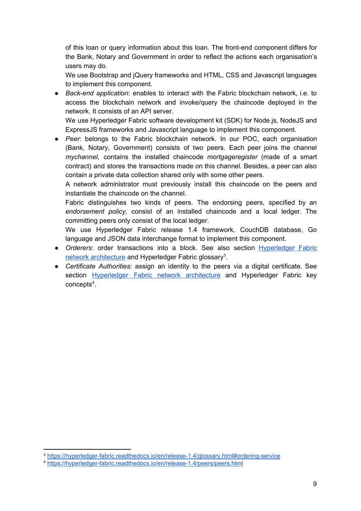of this loan or query information about this loan. The front-end component differs for the Bank, Notary and Government in order to reflect the actions each organisation's users may do.

We use Bootstrap and jQuery frameworks and HTML, CSS and Javascript languages to implement this component.

● *Back-end application*: enables to interact with the Fabric blockchain network, i.e. to access the blockchain network and invoke/query the chaincode deployed in the network. It consists of an API server.

We use Hyperledger Fabric software development kit (SDK) for Node.js, NodeJS and ExpressJS frameworks and Javascript language to implement this component.

● *Peer*: belongs to the Fabric blockchain network. In our POC, each organisation (Bank, Notary, Government) consists of two peers. Each peer joins the channel *mychannel*, contains the installed chaincode *mortgageregister* (made of a smart contract) and stores the transactions made on this channel. Besides, a peer can also contain a private data collection shared only with some other peers.

A network administrator must previously install this chaincode on the peers and instantiate the chaincode on the channel.

Fabric distinguishes two kinds of peers. The endorsing peers, specified by an *endorsement policy,* consist of an installed chaincode and a local ledger. The committing peers only consist of the local ledger.

We use Hyperledger Fabric release 1.4 framework, CouchDB database, Go language and JSON data interchange format to implement this component.

- *● Orderers*: order transactions into a block. See also section [Hyperledger](#page-11-0) Fabric network [architecture](#page-11-0) and Hyperledger Fabric glossary<sup>3</sup>.
- *● Certificate Authorities*: assign an identity to the peers via a digital certificate. See section **[Hyperledger](#page-11-0) Fabric network architecture** and Hyperledger Fabric key concepts<sup>4</sup>.

<sup>3</sup> <https://hyperledger-fabric.readthedocs.io/en/release-1.4/glossary.html#ordering-service>

<sup>4</sup> <https://hyperledger-fabric.readthedocs.io/en/release-1.4/peers/peers.html>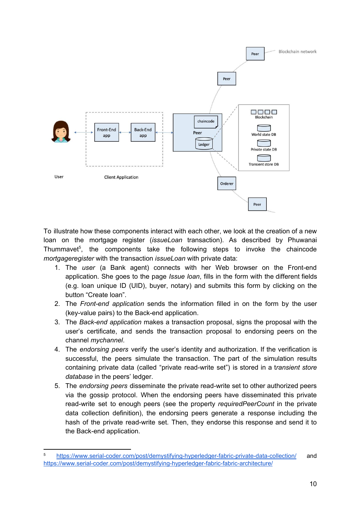

To illustrate how these components interact with each other, we look at the creation of a new loan on the mortgage register (*issueLoan* transaction). As described by Phuwanai Thummavet<sup>5</sup>, the components take the following steps to invoke the chaincode *mortgageregister* with the transaction *issueLoan* with private data:

- 1. The *user* (a Bank agent) connects with her Web browser on the Front-end application. She goes to the page *Issue loan*, fills in the form with the different fields (e.g. loan unique ID (UID), buyer, notary) and submits this form by clicking on the button "Create loan".
- 2. The *Front-end application* sends the information filled in on the form by the user (key-value pairs) to the Back-end application.
- 3. The *Back-end application* makes a transaction proposal, signs the proposal with the user's certificate, and sends the transaction proposal to endorsing peers on the channel *mychannel*.
- 4. The *endorsing peers* verify the user's identity and authorization. If the verification is successful, the peers simulate the transaction. The part of the simulation results containing private data (called "private read-write set") is stored in a t*ransient store database* in the peers' ledger.
- 5. The *endorsing peers* disseminate the private read-write set to other authorized peers via the gossip protocol. When the endorsing peers have disseminated this private read-write set to enough peers (see the property *requiredPeerCount* in the private data collection definition), the endorsing peers generate a response including the hash of the private read-write set. Then, they endorse this response and send it to the Back-end application.

<sup>5</sup> <https://www.serial-coder.com/post/demystifying-hyperledger-fabric-private-data-collection/> and <https://www.serial-coder.com/post/demystifying-hyperledger-fabric-fabric-architecture/>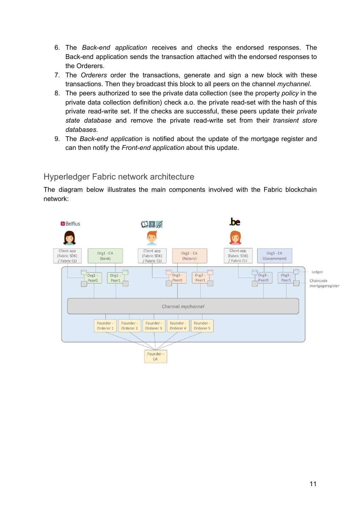- 6. The *Back-end application* receives and checks the endorsed responses. The Back-end application sends the transaction attached with the endorsed responses to the Orderers.
- 7. The *Orderers* order the transactions, generate and sign a new block with these transactions. Then they broadcast this block to all peers on the channel *mychannel*.
- 8. The peers authorized to see the private data collection (see the property *policy* in the private data collection definition) check a.o. the private read-set with the hash of this private read-write set. If the checks are successful, these peers update their *private state database* and remove the private read-write set from their *transient store databases*.
- 9. The *Back-end application* is notified about the update of the mortgage register and can then notify the *Front-end application* about this update.

#### <span id="page-11-0"></span>Hyperledger Fabric network architecture

The diagram below illustrates the main components involved with the Fabric blockchain network:

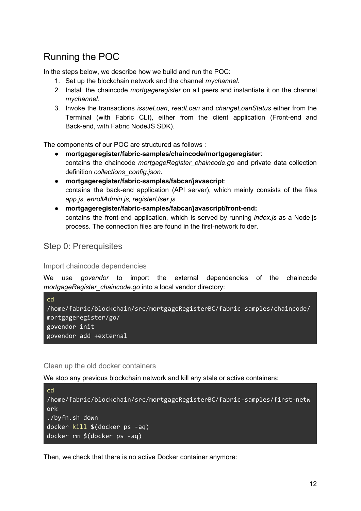## <span id="page-12-0"></span>Running the POC

In the steps below, we describe how we build and run the POC:

- 1. Set up the blockchain network and the channel *mychannel*.
- 2. Install the chaincode *mortgageregister* on all peers and instantiate it on the channel *mychannel*.
- 3. Invoke the transactions *issueLoan*, *readLoan* and *changeLoanStatus* either from the Terminal (with Fabric CLI), either from the client application (Front-end and Back-end, with Fabric NodeJS SDK).

The components of our POC are structured as follows :

- **mortgageregister/fabric-samples/chaincode/mortgageregister**: contains the chaincode *mortgageRegister\_chaincode.go* and private data collection definition *collections\_config.json*.
- **mortgageregister/fabric-samples/fabcar/javascript**: contains the back-end application (API server), which mainly consists of the files *app.js, enrollAdmin.js, registerUser.js*
- **● mortgageregister/fabric-samples/fabcar/javascript/front-end:** contains the front-end application, which is served by running *index.js* as a Node.js process. The connection files are found in the first-network folder.

<span id="page-12-1"></span>Step 0: Prerequisites

<span id="page-12-2"></span>Import chaincode dependencies

We use *govendor* to import the external dependencies of the chaincode *mortgageRegister\_chaincode.go* into a local vendor directory:

```
cd
/home/fabric/blockchain/src/mortgageRegisterBC/fabric-samples/chaincode/
mortgageregister/go/
govendor init
govendor add +external
```
<span id="page-12-3"></span>Clean up the old docker containers

We stop any previous blockchain network and kill any stale or active containers:

```
cd
/home/fabric/blockchain/src/mortgageRegisterBC/fabric-samples/first-netw
ork
./byfn.sh down
docker kill $(docker ps -aq)
docker rm $(docker ps -aq)
```
Then, we check that there is no active Docker container anymore: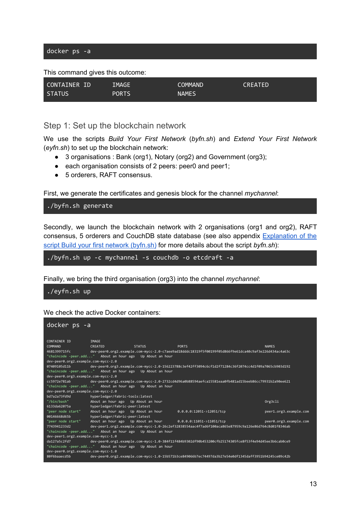This command gives this outcome:



#### <span id="page-13-0"></span>Step 1: Set up the blockchain network

We use the scripts *Build Your First Network* (*byfn.sh*) and *Extend Your First Network* (*eyfn.sh*) to set up the blockchain network:

- 3 organisations : Bank (org1), Notary (org2) and Government (org3);
- each organisation consists of 2 peers: peer0 and peer1;
- 5 orderers, RAFT consensus.

First, we generate the certificates and genesis block for the channel *mychannel*:

./byfn.sh generate

Secondly, we launch the blockchain network with 2 organisations (org1 and org2), RAFT consensus, 5 orderers and CouchDB state database (see also appendix [Explanation](#page-30-1) of the script Build your first network [\(byfn.sh\)](#page-30-1) for more details about the script *byfn.sh*):

./byfn.sh up -c mychannel -s couchdb -o etcdraft -a

Finally, we bring the third organisation (org3) into the channel *mychannel*:

./eyfn.sh up

We check the active Docker containers:

| docker ps -a                           |                                                          |               |                                                                                                                   |                        |
|----------------------------------------|----------------------------------------------------------|---------------|-------------------------------------------------------------------------------------------------------------------|------------------------|
| CONTAINER ID                           | IMAGE                                                    |               |                                                                                                                   |                        |
| COMMAND                                | CREATED                                                  | <b>STATUS</b> | <b>PORTS</b>                                                                                                      | <b>NAMES</b>           |
| $4681399715 \overline{f}c$             |                                                          |               | dev-peer0.org2.example.com-mycc-2.0-c7aee9ad18dddc18319f5f00199f05d866f9e61dca40c9af3e226d434ac4a63c              |                        |
|                                        | "chaincode -peer.add" About an hour ago Up About an hour |               |                                                                                                                   |                        |
| dev-peer0.org2.example.com-mycc-2.0    |                                                          |               |                                                                                                                   |                        |
|                                        |                                                          |               | 07409105d11b dev-peer0.org3.example.com-mycc-2.0-156223788c3ef42ff3094c6cf1d2f71284c36f2074cc4d1f09a7065cb903d192 |                        |
|                                        | "chaincode -peer.add" About an hour ago Up About an hour |               |                                                                                                                   |                        |
| dev-peer0.org3.example.com-mycc-2.0    |                                                          |               |                                                                                                                   |                        |
| cc5972e781ab                           |                                                          |               | dev-peer0.org1.example.com-mycc-2.0-2732cd4d96a0b88594aefca15581eaa0fb481ad15beeb86cc79931b2a90ee621              |                        |
|                                        | "chaincode -peer.add" About an hour ago Up About an hour |               |                                                                                                                   |                        |
| dev-peer0.org1.example.com-mycc-2.0    |                                                          |               |                                                                                                                   |                        |
| hd7a2a73fd9d                           | hyperledger/fabric-tools:latest                          |               |                                                                                                                   |                        |
| "/bin/bash"                            | About an hour ago Up About an hour                       |               |                                                                                                                   | Org3cli                |
| 6133da62075a<br><b>Service Service</b> | hyperledger/fabric-peer:latest                           |               |                                                                                                                   |                        |
| "peer node start"                      | About an hour ago Up About an hour                       |               | 0.0.0.0:12051->12051/tcp                                                                                          | peer1.org3.example.com |
| 00146668d65b                           | hyperledger/fabric-peer:latest                           |               |                                                                                                                   |                        |
| "peer node start"                      |                                                          |               | About an hour ago Up About an hour $0.0.0.0.11051$ ->11051/tcp                                                    | peer0.org3.example.com |
| 7743941233d2                           |                                                          |               | dev-peer1.org2.example.com-mycc-1.0-26c2ef32838554aac4f7ad6f100aca865e87959c9a126e86d764c8d01f8346ab              |                        |
|                                        | "chaincode -peer.add" About an hour ago Up About an hour |               |                                                                                                                   |                        |
| dev-peer1.org2.example.com-mycc-1.0    |                                                          |               |                                                                                                                   |                        |
| da127a5c2fd7                           |                                                          |               | dev-peer0.org1.example.com-mycc-1.0-384f11f484b9302df90b453200cfb25174305fce8f53f4e94d45ee3b6cab0ce9              |                        |
|                                        | "chaincode -peer.add" About an hour ago Up About an hour |               |                                                                                                                   |                        |
| dev-peer0.org1.example.com-mycc-1.0    |                                                          |               |                                                                                                                   |                        |
| 80f6baaecd5b                           |                                                          |               | dev-peer0.org2.example.com-mycc-1.0-15b571b3ce849066b7ec74497da3b27e54e0df1345daff3951b94245ce09c42b              |                        |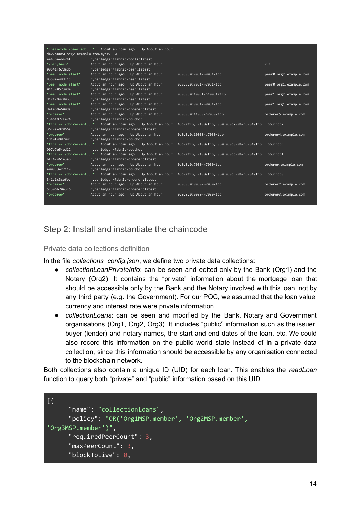| dev-peer0.org2.example.com-mycc-1.0 | "chaincode -peer.add" About an hour ago Up About an hour |                                            |                        |
|-------------------------------------|----------------------------------------------------------|--------------------------------------------|------------------------|
| ee43baeb474f                        | hyperledger/fabric-tools:latest                          |                                            |                        |
| "/bin/bash"                         | About an hour ago Up About an hour                       |                                            | c1i                    |
| 09541f67dad6                        | hyperledger/fabric-peer:latest                           |                                            |                        |
| "peer node start"                   | About an hour ago Up About an hour                       | 0.0.0.0:9051->9051/tcp                     | peer0.org2.example.com |
| 9358ee49dc1d                        | hyperledger/fabric-peer:latest                           |                                            |                        |
| "peer node start"                   | About an hour ago Up About an hour                       | 0.0.0.0:7051->7051/tcp                     | peer0.org1.example.com |
| 0113905730de                        | hyperledger/fabric-peer:latest                           |                                            |                        |
| "peer node start"                   | About an hour ago Up About an hour                       | 0.0.0.0:10051->10051/tcp                   | peer1.org2.example.com |
| d121294c80b3                        | hyperledger/fabric-peer:latest                           |                                            |                        |
| "peer node start"                   | About an hour ago Up About an hour                       | $0.0.0.0.8051 - > 8051/$ tcp               | peer1.org1.example.com |
| defeb9e600da                        | hyperledger/fabric-orderer:latest                        |                                            |                        |
| "orderer"                           | About an hour ago Up About an hour                       | 0.0.0.0:11050->7050/tcp                    | orderer5.example.com   |
| 1346197cfe74                        | hyperledger/fabric-couchdb                               |                                            |                        |
|                                     | "tini -- /docker-ent" About an hour ago Up About an hour | 4369/tcp, 9100/tcp, 0.0.0.0:7984->5984/tcp | couchdb2               |
| 36c9ae92866a                        | hyperledger/fabric-orderer:latest                        |                                            |                        |
| "orderer"                           | About an hour ago Up About an hour                       | 0.0.0.0:10050->7050/tcp                    | orderer4.example.com   |
| 1d10f498709c                        | hyperledger/fabric-couchdb                               |                                            |                        |
| "tini -- /docker-ent"               | About an hour ago Up About an hour                       | 4369/tcp, 9100/tcp, 0.0.0.0:8984->5984/tcp | couchdb3               |
| 097e7e54ed12                        | hyperledger/fabric-couchdb                               |                                            |                        |
|                                     | "tini -- /docker-ent" About an hour ago Up About an hour | 4369/tcp, 9100/tcp, 0.0.0.0:6984->5984/tcp | couchdb1               |
| bfc42461e3ab                        | hyperledger/fabric-orderer:latest                        |                                            |                        |
| "orderer"                           | About an hour ago Up About an hour                       | 0.0.0.0:7050->7050/tcp                     | orderer.example.com    |
| a00853e27119                        | hyperledger/fabric-couchdb                               |                                            |                        |
| "tini -- /docker-ent"               | About an hour ago Up About an hour                       | 4369/tcp, 9100/tcp, 0.0.0.0:5984->5984/tcp | couchdb0               |
| 341c1c3cefbc                        | hyperledger/fabric-orderer:latest                        |                                            |                        |
| "orderer"                           | About an hour ago Up About an hour                       | 0.0.0.0:8050->7050/tcp                     | orderer2.example.com   |
| 5c306b70a3c6                        | hyperledger/fabric-orderer:latest                        |                                            |                        |
| "orderer"                           | About an hour ago Up About an hour                       | 0.0.0.0:9050->7050/tcp                     | orderer3.example.com   |
|                                     |                                                          |                                            |                        |

### <span id="page-14-0"></span>Step 2: Install and instantiate the chaincode

#### <span id="page-14-1"></span>Private data collections definition

In the file *collections\_config.json*, we define two private data collections:

- *collectionLoanPrivateInfo*: can be seen and edited only by the Bank (Org1) and the Notary (Org2). It contains the "private" information about the mortgage loan that should be accessible only by the Bank and the Notary involved with this loan, not by any third party (e.g. the Government). For our POC, we assumed that the loan value, currency and interest rate were private information.
- *collectionLoans*: can be seen and modified by the Bank, Notary and Government organisations (Org1, Org2, Org3). It includes "public" information such as the issuer, buyer (lender) and notary names, the start and end dates of the loan, etc. We could also record this information on the public world state instead of in a private data collection, since this information should be accessible by any organisation connected to the blockchain network.

Both collections also contain a unique ID (UID) for each loan. This enables the *readLoan* function to query both "private" and "public" information based on this UID.

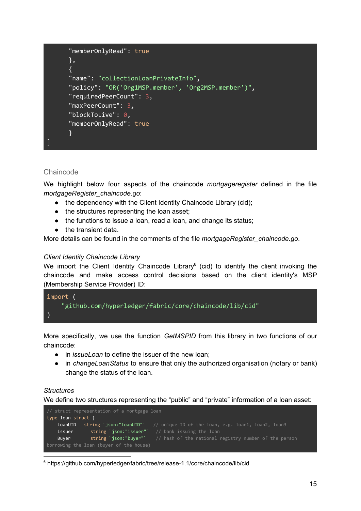```
"memberOnlyRead": true
      },
      {
      "name": "collectionLoanPrivateInfo",
      "policy": "OR('Org1MSP.member', 'Org2MSP.member')",
      "requiredPeerCount": 3,
      "maxPeerCount": 3,
      "blockToLive": 0,
      "memberOnlyRead": true
      }
]
```
#### <span id="page-15-0"></span>**Chaincode**

We highlight below four aspects of the chaincode *mortgageregister* defined in the file *mortgageRegister\_chaincode.go*:

- the dependency with the Client Identity Chaincode Library (cid);
- the structures representing the loan asset;
- the functions to issue a loan, read a loan, and change its status;
- the transient data.

More details can be found in the comments of the file *mortgageRegister\_chaincode.go*.

#### *Client Identity Chaincode Library*

We import the Client Identity Chaincode Library $6$  (cid) to identify the client invoking the chaincode and make access control decisions based on the client identity's MSP (Membership Service Provider) ID:



More specifically, we use the function *GetMSPID* from this library in two functions of our chaincode:

- in *issueLoan* to define the issuer of the new loan;
- in *changeLoanStatus* to ensure that only the authorized organisation (notary or bank) change the status of the loan.

#### *Structures*

We define two structures representing the "public" and "private" information of a loan asset:



<sup>6</sup> https://github.com/hyperledger/fabric/tree/release-1.1/core/chaincode/lib/cid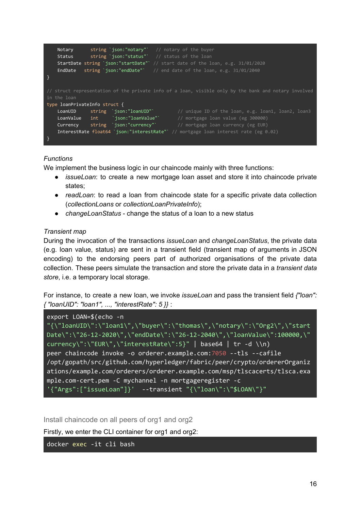```
Notary string `json:"notary" // notary of the buyer
   Status string `json:"status"` // status of the loan
   StartDate string `json:"startDate"` // start date of the loan, e.g. 31/01/2020
   EndDate string `json:"endDate"` // end date of the loan, e.g. 31/01/2040
}
in the loan
type loanPrivateInfo struct {
    LoanUID   string `json:"loanUID"`     // unique ID of the loan, e.g. loan1, loan2, loan3
    LoanValue int `json:"loanValue"` // mortgage loan value (eg 300000)
   Currency string json:"currency" // mortgage loan value (eg 500000)<br>The currency of the currency of the currency (eg EUR)
   InterestRate float64 `json:"interestRate"` // mortgage loan interest rate (eg 0.02)
}
```
#### *Functions*

We implement the business logic in our chaincode mainly with three functions:

- *issueLoan*: to create a new mortgage loan asset and store it into chaincode private states;
- *readLoan*: to read a loan from chaincode state for a specific private data collection (*collectionLoans* or *collectionLoanPrivateInfo*);
- *changeLoanStatus* change the status of a loan to a new status

#### *Transient map*

During the invocation of the transactions *issueLoan* and *changeLoanStatus*, the private data (e.g. loan value, status) are sent in a transient field (transient map of arguments in JSON encoding) to the endorsing peers part of authorized organisations of the private data collection. These peers simulate the transaction and store the private data in a *transient data store*, i.e. a temporary local storage.

For instance, to create a new loan, we invoke *issueLoan* and pass the transient field *{"loan": { "loanUID": "loan1", ..., "interestRate": 5 }}* :

```
export LOAN=$(echo -n
```

```
"{\"loanUID\":\"loan1\",\"buyer\":\"thomas\",\"notary\":\"Org2\",\"start
Date\":\"26-12-2020\",\"endDate\":\"26-12-2040\",\"loanValue\":100000,\"
currency\":\"EUR\",\"interestRate\":5}" | base64 | tr -d \\n)
peer chaincode invoke -o orderer.example.com:7050 --tls --cafile
/opt/gopath/src/github.com/hyperledger/fabric/peer/crypto/ordererOrganiz
ations/example.com/orderers/orderer.example.com/msp/tlscacerts/tlsca.exa
mple.com-cert.pem -C mychannel -n mortgageregister -c
'\{\text{``Args''}:['issueloan'']\}' --transient "\{\text{``Ioan}\text{``}: \text{``$LOAN\$''}\}''
```
<span id="page-16-0"></span>Install chaincode on all peers of org1 and org2

Firstly, we enter the CLI container for org1 and org2:

docker exec -it cli bash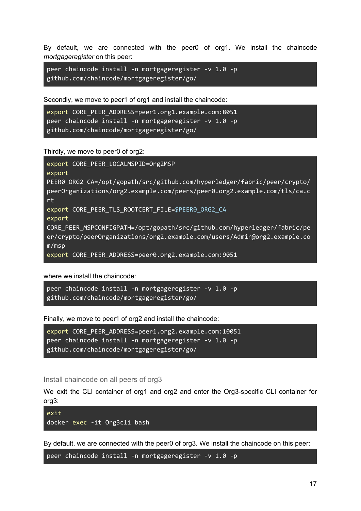By default, we are connected with the peer0 of org1. We install the chaincode *mortgageregister* on this peer:

```
peer chaincode install -n mortgageregister -v 1.0 -p
github.com/chaincode/mortgageregister/go/
```
Secondly, we move to peer1 of org1 and install the chaincode:

```
export CORE PEER ADDRESS=peer1.org1.example.com:8051
peer chaincode install -n mortgageregister -v 1.0 -p
github.com/chaincode/mortgageregister/go/
```
Thirdly, we move to peer0 of org2:

```
export CORE_PEER_LOCALMSPID=Org2MSP
export
PEER0_ORG2_CA=/opt/gopath/src/github.com/hyperledger/fabric/peer/crypto/
peerOrganizations/org2.example.com/peers/peer0.org2.example.com/tls/ca.c
rt
export CORE PEER TLS ROOTCERT FILE=$PEER0 ORG2 CA
export
CORE_PEER_MSPCONFIGPATH=/opt/gopath/src/github.com/hyperledger/fabric/pe
er/crypto/peerOrganizations/org2.example.com/users/Admin@org2.example.co
m/msp
export CORE_PEER_ADDRESS=peer0.org2.example.com:9051
```
where we install the chaincode:

```
peer chaincode install -n mortgageregister -v 1.0 -p
github.com/chaincode/mortgageregister/go/
```
Finally, we move to peer1 of org2 and install the chaincode:

```
export CORE_PEER_ADDRESS=peer1.org2.example.com:10051
peer chaincode install -n mortgageregister -v 1.0 -p
github.com/chaincode/mortgageregister/go/
```
<span id="page-17-0"></span>Install chaincode on all peers of org3

We exit the CLI container of org1 and org2 and enter the Org3-specific CLI container for org3:

exit docker exec -it Org3cli bash

By default, we are connected with the peer0 of org3. We install the chaincode on this peer:

peer chaincode install -n mortgageregister -v 1.0 -p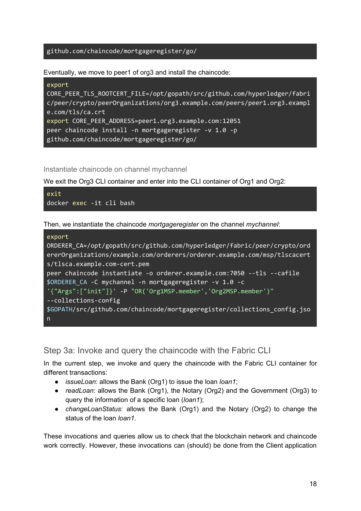#### github.com/chaincode/mortgageregister/go/

Eventually, we move to peer1 of org3 and install the chaincode:

| export                                                                     |
|----------------------------------------------------------------------------|
| CORE PEER TLS ROOTCERT_FILE=/opt/gopath/src/github.com/hyperledger/fabri   |
| $c/peer/crypto/peerOrganizations/org3. example.com/peers/peer1.org3.exam1$ |
| e.com/tls/ca.crt                                                           |
| export CORE PEER ADDRESS=peer1.org3.example.com:12051                      |
| peer chaincode install -n mortgageregister -v 1.0 -p                       |
| github.com/chaincode/mortgageregister/go/                                  |

<span id="page-18-0"></span>Instantiate chaincode on channel mychannel

We exit the Org3 CLI container and enter into the CLI container of Org1 and Org2:



Then, we instantiate the chaincode *mortgageregister* on the channel *mychannel*:

| export                                                                    |
|---------------------------------------------------------------------------|
| ORDERER_CA=/opt/gopath/src/github.com/hyperledger/fabric/peer/crypto/ord  |
| ererOrganizations/example.com/orderers/orderer.example.com/msp/tlscacert  |
| s/tlsca.example.com-cert.pem                                              |
| peer chaincode instantiate -o orderer.example.com:7050 --tls --cafile     |
| \$ORDERER CA -C mychannel -n mortgageregister -v 1.0 -c                   |
| '{"Args":["init"]}' -P "OR('Org1MSP.member','Org2MSP.member')"            |
| --collections-config                                                      |
| \$GOPATH/src/github.com/chaincode/mortgageregister/collections_config.jso |
| $\mathsf{n}$                                                              |

#### <span id="page-18-1"></span>Step 3a: Invoke and query the chaincode with the Fabric CLI

In the current step, we invoke and query the chaincode with the Fabric CLI container for different transactions:

- *issueLoan*: allows the Bank (Org1) to issue the loan *loan1*;
- *readLoan*: allows the Bank (Org1), the Notary (Org2) and the Government (Org3) to query the information of a specific loan (*loan1*);
- *changeLoanStatus*: allows the Bank (Org1) and the Notary (Org2) to change the status of the loan *loan1*.

These invocations and queries allow us to check that the blockchain network and chaincode work correctly. However, these invocations can (should) be done from the Client application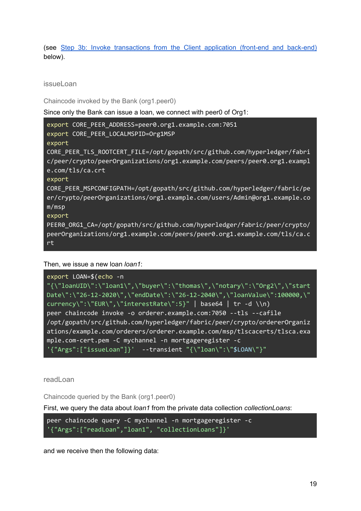(see Step 3b: Invoke [transactions](#page-25-0) from the Client application (front-end and back-end) below).

<span id="page-19-0"></span>issueLoan

<span id="page-19-1"></span>Chaincode invoked by the Bank (org1.peer0)

Since only the Bank can issue a loan, we connect with peer0 of Org1:

| export CORE_PEER_ADDRESS=peer0.org1.example.com:7051<br>export CORE_PEER_LOCALMSPID=Org1MSP                                                                |
|------------------------------------------------------------------------------------------------------------------------------------------------------------|
| export                                                                                                                                                     |
| CORE_PEER_TLS_ROOTCERT_FILE=/opt/gopath/src/github.com/hyperledger/fabri<br>c/peer/crypto/peerOrganizations/org1.example.com/peers/peer0.org1.exampl       |
| e.com/tls/ca.crt<br>export                                                                                                                                 |
| CORE PEER MSPCONFIGPATH=/opt/gopath/src/github.com/hyperledger/fabric/pe<br>er/crypto/peerOrganizations/org1.example.com/users/Admin@org1.example.co       |
| m/msp<br>export                                                                                                                                            |
| PEER0_ORG1_CA=/opt/gopath/src/github.com/hyperledger/fabric/peer/crypto/<br>peerOrganizations/org1.example.com/peers/peer0.org1.example.com/tls/ca.c<br>rt |

Then, we issue a new loan *loan1*:

```
export LOAN=$(echo -n
"{\"loanUID\":\"loan1\",\"buyer\":\"thomas\",\"notary\":\"Org2\",\"start
Date\":\"26-12-2020\",\"endDate\":\"26-12-2040\",\"loanValue\":100000,\"
currency\":\"EUR\",\"interestRate\":5}" | base64 | tr -d \\n)
peer chaincode invoke -o orderer.example.com:7050 --tls --cafile
/opt/gopath/src/github.com/hyperledger/fabric/peer/crypto/ordererOrganiz
ations/example.com/orderers/orderer.example.com/msp/tlscacerts/tlsca.exa
mple.com-cert.pem -C mychannel -n mortgageregister -c
'\{\text{Trags}":["issueloan"]\}' --transient "\{\text{Trao}:\text{Trao}:\text{Trao}:\text{Trao}:\text{Trao}:\text{Trao}:\text{Trao}:\text{Trao}:\text{Trao}:\text{Trao}:\text{Trao}:\text{Trao}:\text{Trao}:\text{Trao}:\text{Trao}:\text{Trao}:\text{Trao}:\text{Trao}:\text{Trao}:\text{Trao}:\text{Trao}:\text{Trao}:\text{Trao}:\text{Trao}:\text{Trao}:\text{Trao}:\text{Trao}:\text{Trao}:\text{Trao}:\text{Trao}:\text{Trao}
```
<span id="page-19-2"></span>readLoan

<span id="page-19-3"></span>Chaincode queried by the Bank (org1.peer0)

First, we query the data about *loan1* from the private data collection *collectionLoans*:

```
peer chaincode query -C mychannel -n mortgageregister -c
'{"Args":["readLoan","loan1", "collectionLoans"]}'
```
and we receive then the following data: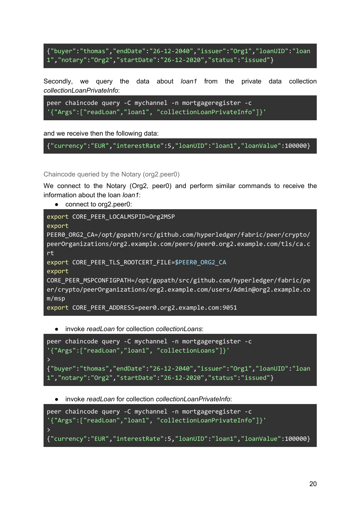{"buyer":"thomas","endDate":"26-12-2040","issuer":"Org1","loanUID":"loan 1","notary":"Org2","startDate":"26-12-2020","status":"issued"}

Secondly, we query the data about *loan1* from the private data collection *collectionLoanPrivateInfo*:

```
peer chaincode query -C mychannel -n mortgageregister -c
'{"Args":["readLoan","loan1", "collectionLoanPrivateInfo"]}'
```
and we receive then the following data:

```
{"currency":"EUR","interestRate":5,"loanUID":"loan1","loanValue":100000}
```
<span id="page-20-0"></span>Chaincode queried by the Notary (org2.peer0)

We connect to the Notary (Org2, peer0) and perform similar commands to receive the information about the loan *loan1*:

● connect to org2.peer0:

```
export CORE_PEER_LOCALMSPID=Org2MSP
export
PEER0_ORG2_CA=/opt/gopath/src/github.com/hyperledger/fabric/peer/crypto/
peerOrganizations/org2.example.com/peers/peer0.org2.example.com/tls/ca.c
rt
export CORE PEER TLS ROOTCERT FILE=$PEER0 ORG2 CA
export
CORE_PEER_MSPCONFIGPATH=/opt/gopath/src/github.com/hyperledger/fabric/pe
er/crypto/peerOrganizations/org2.example.com/users/Admin@org2.example.co
m/msp
export CORE_PEER_ADDRESS=peer0.org2.example.com:9051
```
● invoke *readLoan* for collection *collectionLoans*:

```
peer chaincode query -C mychannel -n mortgageregister -c
'{"Args":["readLoan","loan1", "collectionLoans"]}'
>
{"buyer":"thomas","endDate":"26-12-2040","issuer":"Org1","loanUID":"loan
1","notary":"Org2","startDate":"26-12-2020","status":"issued"}
```
● invoke *readLoan* for collection *collectionLoanPrivateInfo*:

```
peer chaincode query -C mychannel -n mortgageregister -c
'{"Args":["readLoan","loan1", "collectionLoanPrivateInfo"]}'
\mathbf{v}{"currency":"EUR","interestRate":5,"loanUID":"loan1","loanValue":100000}
```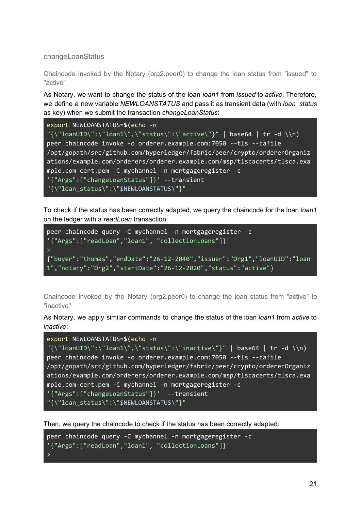<span id="page-21-0"></span>changeLoanStatus

<span id="page-21-1"></span>Chaincode invoked by the Notary (org2.peer0) to change the loan status from "issued" to "active"

As Notary, we want to change the status of the loan *loan1* from *issued* to *active*. Therefore, we define a new variable *NEWLOANSTATUS* and pass it as transient data (with *loan\_status* as key) when we submit the transaction *changeLoanStatus*:

```
export NEWLOANSTATUS=$(echo -n
"\{\lceil\loanUID\":\"loan1\",\"status\":\"active\"}" | base64 | tr -d \\n)
peer chaincode invoke -o orderer.example.com:7050 --tls --cafile
/opt/gopath/src/github.com/hyperledger/fabric/peer/crypto/ordererOrganiz
ations/example.com/orderers/orderer.example.com/msp/tlscacerts/tlsca.exa
mple.com-cert.pem -C mychannel -n mortgageregister -c
'{"Args":["changeLoanStatus"]}' --transient
"{\"loan_status\":\"$NEWLOANSTATUS\"}"
```
To check if the status has been correctly adapted, we query the chaincode for the loan *loan1* on the ledger with a *readLoan* transaction:

```
peer chaincode query -C mychannel -n mortgageregister -c
'{"Args":["readLoan","loan1", "collectionLoans"]}'
\rightarrow{"buyer":"thomas","endDate":"26-12-2040","issuer":"Org1","loanUID":"loan
1","notary":"Org2","startDate":"26-12-2020","status":"active"}
```
<span id="page-21-2"></span>Chaincode invoked by the Notary (org2.peer0) to change the loan status from "active" to "inactive"

As Notary, we apply similar commands to change the status of the loan *loan1* from *active* to *inactive*:

```
export NEWLOANSTATUS=$(echo -n
"\{\lceil\loanUID\":\"loan1\",\"status\":\"inactive\"}" | base64 | tr -d \\n)
peer chaincode invoke -o orderer.example.com:7050 --tls --cafile
/opt/gopath/src/github.com/hyperledger/fabric/peer/crypto/ordererOrganiz
ations/example.com/orderers/orderer.example.com/msp/tlscacerts/tlsca.exa
mple.com-cert.pem -C mychannel -n mortgageregister -c
'{"Args":["changeLoanStatus"]}' --transient
"{\"loan_status\":\"$NEWLOANSTATUS\"}"
```
Then, we query the chaincode to check if the status has been correctly adapted:

```
peer chaincode query -C mychannel -n mortgageregister -c
'{"Args":["readLoan","loan1", "collectionLoans"]}'
>
```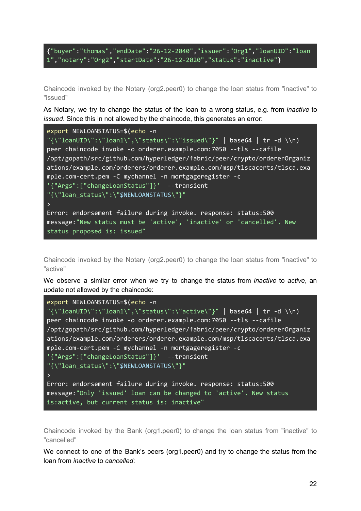```
{"buyer":"thomas","endDate":"26-12-2040","issuer":"Org1","loanUID":"loan
1","notary":"Org2","startDate":"26-12-2020","status":"inactive"}
```
<span id="page-22-0"></span>Chaincode invoked by the Notary (org2.peer0) to change the loan status from "inactive" to "issued"

As Notary, we try to change the status of the loan to a wrong status, e.g. from *inactive* to *issued*. Since this in not allowed by the chaincode, this generates an error:

| export NEWLOANSTATUS=\$(echo -n                                          |
|--------------------------------------------------------------------------|
| "{\"loanUID\":\"loan1\",\"status\":\"issued\"}"   base64   tr -d \\n)    |
| peer chaincode invoke -o orderer.example.com:7050 --tls --cafile         |
| /opt/gopath/src/github.com/hyperledger/fabric/peer/crypto/orderer0rganiz |
| ations/example.com/orderers/orderer.example.com/msp/tlscacerts/tlsca.exa |
| mple.com-cert.pem -C mychannel -n mortgageregister -c                    |
| $'$ {"Args":["changeLoanStatus"]}' --transient                           |
| "{\"loan status\":\"\$NEWLOANSTATUS\"}"                                  |
| $\rightarrow$                                                            |
| Error: endorsement failure during invoke. response: status:500           |
| message:"New status must be 'active', 'inactive' or 'cancelled'. New     |
| status proposed is: issued"                                              |

<span id="page-22-1"></span>Chaincode invoked by the Notary (org2.peer0) to change the loan status from "inactive" to "active"

We observe a similar error when we try to change the status from *inactive* to *active*, an update not allowed by the chaincode:

```
export NEWLOANSTATUS=$(echo -n
"\{\T{10anUID\}":\T{10an1\}",\T{10an1\}":\T{10an2\}peer chaincode invoke -o orderer.example.com:7050 --tls --cafile
/opt/gopath/src/github.com/hyperledger/fabric/peer/crypto/ordererOrganiz
ations/example.com/orderers/orderer.example.com/msp/tlscacerts/tlsca.exa
mple.com-cert.pem -C mychannel -n mortgageregister -c
'{"Args":["changeLoanStatus"]}' --transient
"{\"loan_status\":\"$NEWLOANSTATUS\"}"
\mathcal{P}Error: endorsement failure during invoke. response: status:500
message:"Only 'issued' loan can be changed to 'active'. New status
is:active, but current status is: inactive"
```
<span id="page-22-2"></span>Chaincode invoked by the Bank (org1.peer0) to change the loan status from "inactive" to "cancelled"

We connect to one of the Bank's peers (org1.peer0) and try to change the status from the loan from *inactive* to *cancelled*: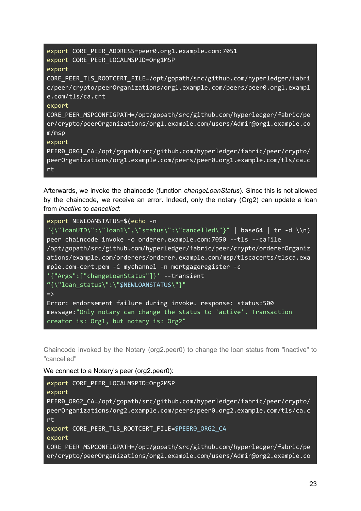| export CORE PEER ADDRESS=peer0.org1.example.com:7051<br>export CORE_PEER_LOCALMSPID=Org1MSP                                                                                           |
|---------------------------------------------------------------------------------------------------------------------------------------------------------------------------------------|
| export<br>CORE PEER TLS ROOTCERT FILE=/opt/gopath/src/github.com/hyperledger/fabri<br>c/peer/crypto/peerOrganizations/org1.example.com/peers/peer0.org1.exampl<br>$e.com/tls/ca.$ crt |
| export<br>CORE PEER MSPCONFIGPATH=/opt/gopath/src/github.com/hyperledger/fabric/pe<br>er/crypto/peerOrganizations/org1.example.com/users/Admin@org1.example.co<br>m/msp               |
| export<br>PEER0_ORG1_CA=/opt/gopath/src/github.com/hyperledger/fabric/peer/crypto/<br>peerOrganizations/org1.example.com/peers/peer0.org1.example.com/tls/ca.c<br>rt                  |

Afterwards, we invoke the chaincode (function *changeLoanStatus*). Since this is not allowed by the chaincode, we receive an error. Indeed, only the notary (Org2) can update a loan from *inactive* to *cancelled*:

| export NEWLOANSTATUS=\$(echo -n                                          |
|--------------------------------------------------------------------------|
| "{\"loanUID\":\"loan1\",\"status\":\"cancelled\"}"   base64   tr -d \\n) |
| peer chaincode invoke -o orderer.example.com: 7050 --tls --cafile        |
| /opt/gopath/src/github.com/hyperledger/fabric/peer/crypto/orderer0rganiz |
| ations/example.com/orderers/orderer.example.com/msp/tlscacerts/tlsca.exa |
| mple.com-cert.pem -C mychannel -n mortgageregister -c                    |
| $'\$ "Args": ["changeLoanStatus"]}' --transient                          |
| "{\"loan status\":\"\$NEWLOANSTATUS\"}"                                  |
| $\Rightarrow$                                                            |
| Error: endorsement failure during invoke. response: status:500           |
| message:"Only notary can change the status to 'active'. Transaction      |
| creator is: Org1, but notary is: Org2"                                   |

<span id="page-23-0"></span>Chaincode invoked by the Notary (org2.peer0) to change the loan status from "inactive" to "cancelled"

We connect to a Notary's peer (org2.peer0):

```
export CORE_PEER_LOCALMSPID=Org2MSP
export
PEER0_ORG2_CA=/opt/gopath/src/github.com/hyperledger/fabric/peer/crypto/
peerOrganizations/org2.example.com/peers/peer0.org2.example.com/tls/ca.c
rt
export CORE_PEER_TLS_ROOTCERT_FILE=$PEER0_ORG2_CA
export
CORE_PEER_MSPCONFIGPATH=/opt/gopath/src/github.com/hyperledger/fabric/pe
er/crypto/peerOrganizations/org2.example.com/users/Admin@org2.example.co
```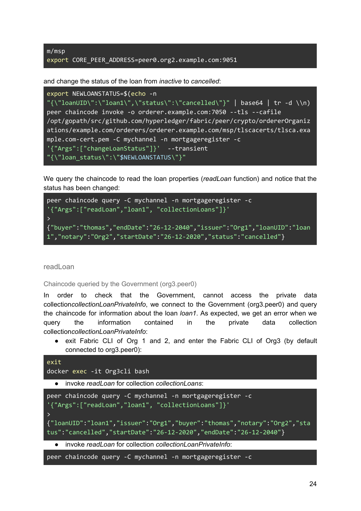m/msp export CORE\_PEER\_ADDRESS=peer0.org2.example.com:9051

and change the status of the loan from *inactive* to *cancelled*:

```
export NEWLOANSTATUS=$(echo -n
"\{\T{}\loanUID\":\"loan1\",\"status\":\"cancelled\"}" | base64 | tr -d \\n)
peer chaincode invoke -o orderer.example.com:7050 --tls --cafile
/opt/gopath/src/github.com/hyperledger/fabric/peer/crypto/ordererOrganiz
ations/example.com/orderers/orderer.example.com/msp/tlscacerts/tlsca.exa
mple.com-cert.pem -C mychannel -n mortgageregister -c
'{"Args":["changeLoanStatus"]}' --transient
"{\"loan_status\":\"$NEWLOANSTATUS\"}"
```
We query the chaincode to read the loan properties (*readLoan* function) and notice that the status has been changed:



<span id="page-24-0"></span>readLoan

<span id="page-24-1"></span>Chaincode queried by the Government (org3.peer0)

In order to check that the Government, cannot access the private data collection*collectionLoanPrivateInfo*, we connect to the Government (org3.peer0) and query the chaincode for information about the loan *loan1*. As expected, we get an error when we query the information contained in the private data collection collection*collectionLoanPrivateInfo*:

● exit Fabric CLI of Org 1 and 2, and enter the Fabric CLI of Org3 (by default connected to org3.peer0):

```
exit
docker exec -it Org3cli bash
  ● invoke readLoan for collection collectionLoans:
peer chaincode query -C mychannel -n mortgageregister -c
'{"Args":["readLoan","loan1", "collectionLoans"]}'
\rightarrow{"loanUID":"loan1","issuer":"Org1","buyer":"thomas","notary":"Org2","sta
tus":"cancelled","startDate":"26-12-2020","endDate":"26-12-2040"}
```
● invoke *readLoan* for collection *collectionLoanPrivateInfo*:

peer chaincode query -C mychannel -n mortgageregister -c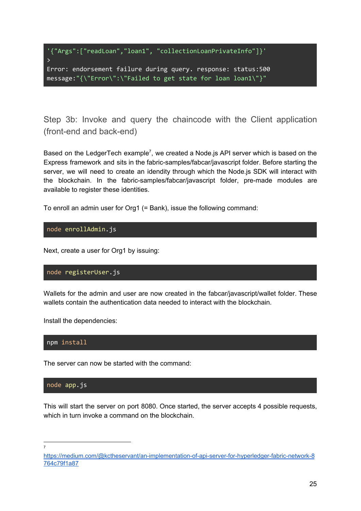```
'{"Args":["readLoan","loan1", "collectionLoanPrivateInfo"]}'
\rightarrowError: endorsement failure during query. response: status:500
message:"{\"Error\":\"Failed to get state for loan loan1\"}"
```
<span id="page-25-0"></span>Step 3b: Invoke and query the chaincode with the Client application (front-end and back-end)

Based on the LedgerTech example<sup>7</sup>, we created a Node.js API server which is based on the Express framework and sits in the fabric-samples/fabcar/javascript folder. Before starting the server, we will need to create an idendity through which the Node.js SDK will interact with the blockchain. In the fabric-samples/fabcar/javascript folder, pre-made modules are available to register these identities.

To enroll an admin user for Org1 (= Bank), issue the following command:

#### node enrollAdmin.js

Next, create a user for Org1 by issuing:

#### node registerUser.js

Wallets for the admin and user are now created in the fabcar/javascript/wallet folder. These wallets contain the authentication data needed to interact with the blockchain.

Install the dependencies:

npm install

The server can now be started with the command:

#### node app.js

This will start the server on port 8080. Once started, the server accepts 4 possible requests, which in turn invoke a command on the blockchain.

7

[https://medium.com/@kctheservant/an-implementation-of-api-server-for-hyperledger-fabric-network-8](https://medium.com/@kctheservant/an-implementation-of-api-server-for-hyperledger-fabric-network-8764c79f1a87) [764c79f1a87](https://medium.com/@kctheservant/an-implementation-of-api-server-for-hyperledger-fabric-network-8764c79f1a87)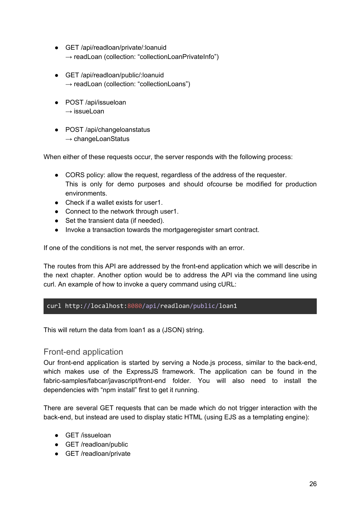- GET /api/readloan/private/:loanuid  $\rightarrow$  readLoan (collection: "collectionLoanPrivateInfo")
- GET /api/readloan/public/:loanuid  $\rightarrow$  readLoan (collection: "collectionLoans")
- POST /api/issueloan  $\rightarrow$  issueLoan
- POST /api/changeloanstatus  $\rightarrow$  changeLoanStatus

When either of these requests occur, the server responds with the following process:

- CORS policy: allow the request, regardless of the address of the requester. This is only for demo purposes and should ofcourse be modified for production environments.
- Check if a wallet exists for user1.
- Connect to the network through user1.
- Set the transient data (if needed).
- Invoke a transaction towards the mortgageregister smart contract.

If one of the conditions is not met, the server responds with an error.

The routes from this API are addressed by the front-end application which we will describe in the next chapter. Another option would be to address the API via the command line using curl. An example of how to invoke a query command using cURL:

#### curl http://localhost:8080/api/readloan/public/loan1

This will return the data from loan1 as a (JSON) string.

#### Front-end application

Our front-end application is started by serving a Node.js process, similar to the back-end, which makes use of the ExpressJS framework. The application can be found in the fabric-samples/fabcar/javascript/front-end folder. You will also need to install the dependencies with "npm install" first to get it running.

There are several GET requests that can be made which do not trigger interaction with the back-end, but instead are used to display static HTML (using EJS as a templating engine):

- GET /issueloan
- GET /readloan/public
- GET /readloan/private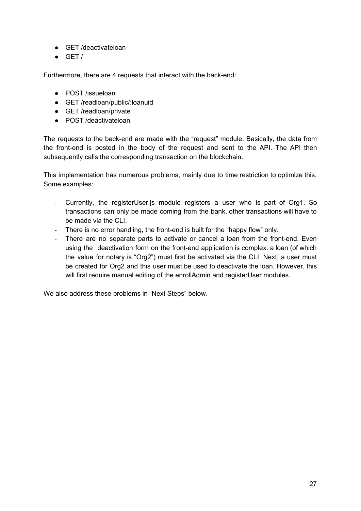- GET /deactivateloan
- $\bullet$  GET /

Furthermore, there are 4 requests that interact with the back-end:

- POST /issueloan
- GET /readloan/public/:loanuid
- GET /readloan/private
- POST /deactivateloan

The requests to the back-end are made with the "request" module. Basically, the data from the front-end is posted in the body of the request and sent to the API. The API then subsequently calls the corresponding transaction on the blockchain.

This implementation has numerous problems, mainly due to time restriction to optimize this. Some examples:

- Currently, the registerUser.js module registers a user who is part of Org1. So transactions can only be made coming from the bank, other transactions will have to be made via the CLL.
- There is no error handling, the front-end is built for the "happy flow" only.
- There are no separate parts to activate or cancel a loan from the front-end. Even using the deactivation form on the front-end application is complex: a loan (of which the value for notary is "Org2") must first be activated via the CLI. Next, a user must be created for Org2 and this user must be used to deactivate the loan. However, this will first require manual editing of the enrollAdmin and registerUser modules.

We also address these problems in "Next Steps" below.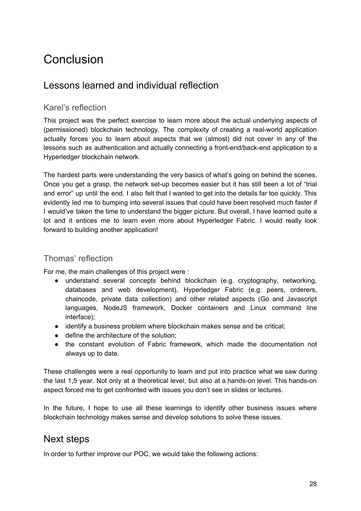## <span id="page-28-0"></span>Conclusion

## <span id="page-28-1"></span>Lessons learned and individual reflection

#### <span id="page-28-2"></span>Karel's reflection

This project was the perfect exercise to learn more about the actual underlying aspects of (permissioned) blockchain technology. The complexity of creating a real-world application actually forces you to learn about aspects that we (almost) did not cover in any of the lessons such as authentication and actually connecting a front-end/back-end application to a Hyperledger blockchain network.

The hardest parts were understanding the very basics of what's going on behind the scenes. Once you get a grasp, the network set-up becomes easier but it has still been a lot of "trial and error" up until the end. I also felt that I wanted to get into the details far too quickly. This evidently led me to bumping into several issues that could have been resolved much faster if I would've taken the time to understand the bigger picture. But overall, I have learned quite a lot and it entices me to learn even more about Hyperledger Fabric. I would really look forward to building another application!

#### <span id="page-28-3"></span>Thomas' reflection

For me, the main challenges of this project were :

- understand several concepts behind blockchain (e.g. cryptography, networking, databases and web development), Hyperledger Fabric (e.g. peers, orderers, chaincode, private data collection) and other related aspects (Go and Javascript languages, NodeJS framework, Docker containers and Linux command line interface);
- identify a business problem where blockchain makes sense and be critical;
- define the architecture of the solution;
- the constant evolution of Fabric framework, which made the documentation not always up to date.

These challenges were a real opportunity to learn and put into practice what we saw during the last 1,5 year. Not only at a theoretical level, but also at a hands-on level. This hands-on aspect forced me to get confronted with issues you don't see in slides or lectures.

In the future, I hope to use all these learnings to identify other business issues where blockchain technology makes sense and develop solutions to solve these issues.

## <span id="page-28-4"></span>Next steps

In order to further improve our POC, we would take the following actions: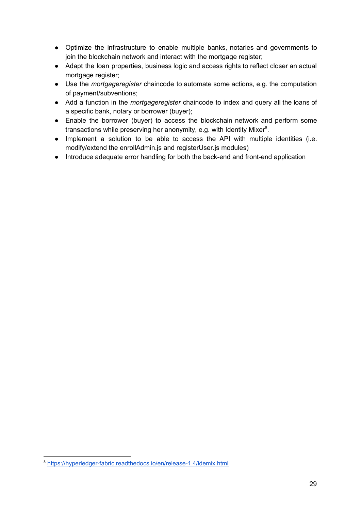- Optimize the infrastructure to enable multiple banks, notaries and governments to join the blockchain network and interact with the mortgage register;
- Adapt the loan properties, business logic and access rights to reflect closer an actual mortgage register;
- Use the *mortgageregister* chaincode to automate some actions, e.g. the computation of payment/subventions;
- Add a function in the *mortgageregister* chaincode to index and query all the loans of a specific bank, notary or borrower (buyer);
- Enable the borrower (buyer) to access the blockchain network and perform some transactions while preserving her anonymity, e.g. with Identity Mixer $8$ .
- Implement a solution to be able to access the API with multiple identities (i.e. modify/extend the enrollAdmin.js and registerUser.js modules)
- Introduce adequate error handling for both the back-end and front-end application

<sup>8</sup> <https://hyperledger-fabric.readthedocs.io/en/release-1.4/idemix.html>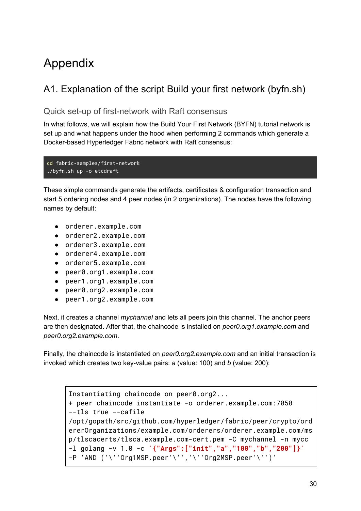## <span id="page-30-0"></span>Appendix

## <span id="page-30-1"></span>A1. Explanation of the script Build your first network (byfn.sh)

#### <span id="page-30-2"></span>Quick set-up of first-network with Raft consensus

In what follows, we will explain how the Build Your First Network (BYFN) tutorial network is set up and what happens under the hood when performing 2 commands which generate a Docker-based Hyperledger Fabric network with Raft consensus:

```
cd fabric-samples/first-network
./byfn.sh up -o etcdraft
```
These simple commands generate the artifacts, certificates & configuration transaction and start 5 ordering nodes and 4 peer nodes (in 2 organizations). The nodes have the following names by default:

- orderer.example.com
- orderer2.example.com
- orderer3.example.com
- orderer4.example.com
- orderer5.example.com
- peer0.org1.example.com
- peer1.org1.example.com
- peer0.org2.example.com
- peer1.org2.example.com

Next, it creates a channel *mychannel* and lets all peers join this channel. The anchor peers are then designated. After that, the chaincode is installed on *peer0.org1.example.com* and *peer0.org2.example.com*.

Finally, the chaincode is instantiated on *peer0.org2.example.com* and an initial transaction is invoked which creates two key-value pairs: *a* (value: 100) and *b* (value: 200):

```
Instantiating chaincode on peer0.org2...
+ peer chaincode instantiate -o orderer.example.com:7050
--tls true --cafile
/opt/gopath/src/github.com/hyperledger/fabric/peer/crypto/ord
ererOrganizations/example.com/orderers/orderer.example.com/ms
p/tlscacerts/tlsca.example.com-cert.pem -C mychannel -n mycc
-l golang -v 1.0 -c '{"Args":["init","a","100","b","200"]}'
-P 'AND ('\''Org1MSP.peer'\'','\''Org2MSP.peer'\'')'
```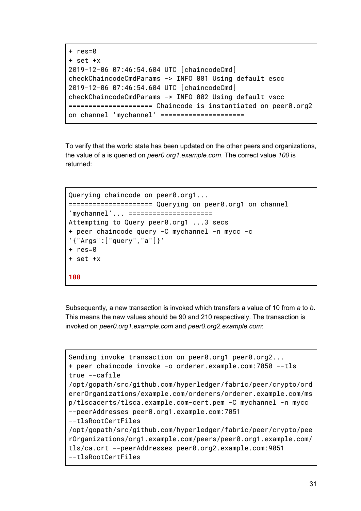```
+ res=0
+ set +x
2019-12-06 07:46:54.604 UTC [chaincodeCmd]
checkChaincodeCmdParams -> INFO 001 Using default escc
2019-12-06 07:46:54.604 UTC [chaincodeCmd]
checkChaincodeCmdParams -> INFO 002 Using default vscc
===================== Chaincode is instantiated on peer0.org2
on channel 'mychannel' ====================
```
To verify that the world state has been updated on the other peers and organizations, the value of *a* is queried on *peer0.org1.example.com*. The correct value *100* is returned:

```
Querying chaincode on peer0.org1...
===================== Querying on peer0.org1 on channel
'mychannel'... =====================
Attempting to Query peer0.org1 ...3 secs
+ peer chaincode query -C mychannel -n mycc -c
'{"Args":["query","a"]}'
+ res=0
+ set +x
100
```
Subsequently, a new transaction is invoked which transfers a value of 10 from *a* to *b*. This means the new values should be 90 and 210 respectively. The transaction is invoked on *peer0.org1.example.com* and *peer0.org2.example.com*:

```
Sending invoke transaction on peer0.org1 peer0.org2...
+ peer chaincode invoke -o orderer.example.com:7050 --tls
true --cafile
/opt/gopath/src/github.com/hyperledger/fabric/peer/crypto/ord
ererOrganizations/example.com/orderers/orderer.example.com/ms
p/tlscacerts/tlsca.example.com-cert.pem -C mychannel -n mycc
--peerAddresses peer0.org1.example.com:7051
--tlsRootCertFiles
/opt/gopath/src/github.com/hyperledger/fabric/peer/crypto/pee
rOrganizations/org1.example.com/peers/peer0.org1.example.com/
tls/ca.crt --peerAddresses peer0.org2.example.com:9051
--tlsRootCertFiles
```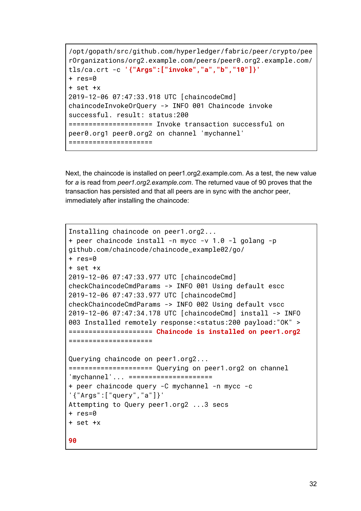```
/opt/gopath/src/github.com/hyperledger/fabric/peer/crypto/pee
rOrganizations/org2.example.com/peers/peer0.org2.example.com/
tls/ca.crt -c '{"Args":["invoke","a","b","10"]}'
+ res=0
+ set +x
2019-12-06 07:47:33.918 UTC [chaincodeCmd]
chaincodeInvokeOrQuery -> INFO 001 Chaincode invoke
successful. result: status:200
===================== Invoke transaction successful on
peer0.org1 peer0.org2 on channel 'mychannel'
=====================
```
Next, the chaincode is installed on peer1.org2.example.com. As a test, the new value for *a* is read from *peer1.org2.example.com*. The returned vaue of 90 proves that the transaction has persisted and that all peers are in sync with the anchor peer, immediately after installing the chaincode:

```
Installing chaincode on peer1.org2...
+ peer chaincode install -n mycc -v 1.0 -l golang -p
github.com/chaincode/chaincode_example02/go/
+ res=0
+ set +x
2019-12-06 07:47:33.977 UTC [chaincodeCmd]
checkChaincodeCmdParams -> INFO 001 Using default escc
2019-12-06 07:47:33.977 UTC [chaincodeCmd]
checkChaincodeCmdParams -> INFO 002 Using default vscc
2019-12-06 07:47:34.178 UTC [chaincodeCmd] install -> INFO
003 Installed remotely response:<status:200 payload:"OK" >
===================== Chaincode is installed on peer1.org2
=====================
Querying chaincode on peer1.org2...
===================== Querying on peer1.org2 on channel
'mychannel'... =====================
+ peer chaincode query -C mychannel -n mycc -c
'{"Args":["query","a"]}'
Attempting to Query peer1.org2 ...3 secs
+ res=0
+ set +x
90
```